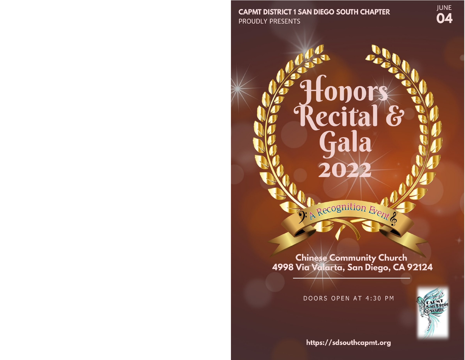**CAPMT DISTRICT 1 SAN DIEGO SOUTH CHAPTER PROUDLY PRESENTS** 

**JUNE** 04

Chinese Community Church<br>4998 Via Valarta, San Diego, CA 92124

Recognition Event &

Honors<br>Recital &<br>Gala

DOORS OPEN AT 4:30 PM



https://sdsouthcapmt.org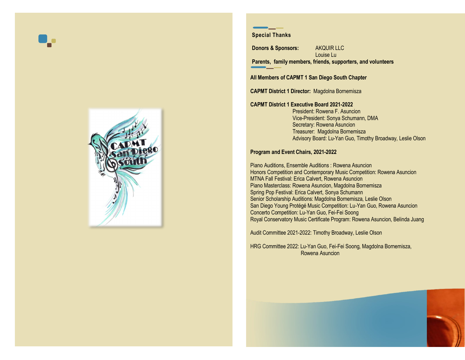



### **Special Thanks**

**Donors & Sponsors:** AKQUIR LLC Louise Lu **Parents, family members, friends, supporters, and volunteers**

**All Members of CAPMT 1 San Diego South Chapter**

**CAPMT District 1 Director:** Magdolna Bornemisza

#### **CAPMT District 1 Executive Board 2021-2022**

President: Rowena F. Asuncion Vice-President: Sonya Schumann, DMA Secretary: Rowena Asuncion Treasurer: Magdolna Bornemisza Advisory Board: Lu-Yan Guo, Timothy Broadway, Leslie Olson

### **Program and Event Chairs, 2021-2022**

Piano Auditions, Ensemble Auditions : Rowena Asuncion Honors Competition and Contemporary Music Competition: Rowena Asuncion MTNA Fall Festival: Erica Calvert, Rowena Asuncion Piano Masterclass: Rowena Asuncion, Magdolna Bornemisza Spring Pop Festival: Erica Calvert, Sonya Schumann Senior Scholarship Auditions: Magdolna Bornemisza, Leslie Olson San Diego Young Protégé Music Competition: Lu-Yan Guo, Rowena Asuncion Concerto Competition: Lu-Yan Guo, Fei-Fei Soong Royal Conservatory Music Certificate Program: Rowena Asuncion, Belinda Juang

Audit Committee 2021-2022: Timothy Broadway, Leslie Olson

HRG Committee 2022: Lu-Yan Guo, Fei-Fei Soong, Magdolna Bornemisza, Rowena Asuncion

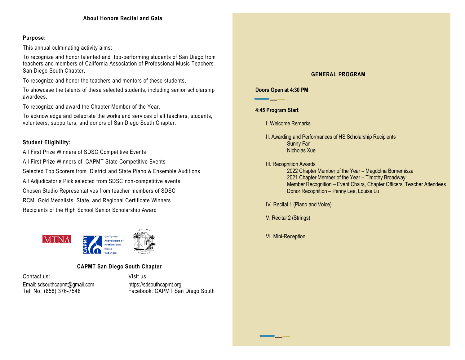### **Purpose:**

This annual culminating activity aims:

To recognize and honor talented and top-performing students of San Diego from teachers and members of California Association of Professional Music Teachers San Diego South Chapter,

To recognize and honor the teachers and mentors of these students,

To showcase the talents of these selected students, including senior scholarship awardees.

To recognize and award the Chapter Member of the Year,

To acknowledge and celebrate the works and services of all teachers, students, volunteers, supporters, and donors of San Diego South Chapter.

## **Student Eligibility:**

All First Prize Winners of SDSC Competitive Events All First Prize Winners of CAPMT State Competitive Events Selected Top Scorers from District and State Piano & Ensemble Auditions All Adjudicator's Pick selected from SDSC non-competitive events Chosen Studio Representatives from teacher members of SDSC RCM Gold Medalists, State, and Regional Certificate Winners Recipients of the High School Senior Scholarship Award



# **CAPMT San Diego South Chapter**

Contact us: Visit us: Email: sdsouthcapmt@gmail.com https://sdsouthcapmt.org<br>Tel. No. (858) 376-7548 Facebook: CAPMT Sar

Facebook: CAPMT San Diego South

## **GENERAL PROGRAM**

## **Doors Open at 4:30 PM**

## **4:45 Program Start**

I. Welcome Remarks

- II. Awarding and Performances of HS Scholarship Recipients Sunny Fan Nicholas Xue
- III. Recognition Awards
	- 2022 Chapter Member of the Year Magdolna Bornemisza 2021 Chapter Member of the Year – Timothy Broadway Member Recognition – Event Chairs, Chapter Officers, Teacher Attendees Donor Recognition – Penny Lee, Louise Lu

IV. Recital 1 (Piano and Voice)

V. Recital 2 (Strings)

VI. Mini-Reception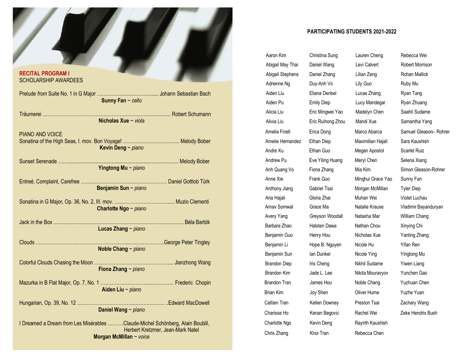

#### **PARTICIPATING STUDENTS 2021-2022**

Arnav Somwal Grace Ma Natalie Krause Vladimir Bayanduryan Avery Yang Greyson Woodall Natasha Mar William Chang Barbara Zhao Halsten Dawa Nathan Chou Xinying Chi Benjamin Guo Henry Hou Nicholas Xue Yanting Zhang Benjamin Li Hope B. Nguyen Nicole Hu Yifan Ren Benjamin Sun Ian Dunkel Nicole Ying Yingtong Mu Brandon Diep Iris Cheng Nikhil Sudame Yiwen Liang Brandon Kim Jade L. Lee Nikita Mouravyov Yunchen Gao Amelia Finell Erica Dong Marco Abarca Samuel Gleason– Rohrer Amelie Hernandez Ethan Diep Maximilian Hajali Sara Kaushish Andre Xu **Ethan Guo** Megan Apostol Scarlet Ruiz Andrew Pu **Eve Yiling Huang** Meryl Chen Selena Xiang Anh Quang Vo Fiona Zhang Mia Kim Simon Gleason-Rohrer Anne Xie Frank Guo Minghui Grace Yao Sunny Fan Anthony Jiang Gabriel Tsai Morgan McMillan Tyler Diep Aria Hajali Gloria Zhai Muhan Wei Violet Luchau Abigail May Thai Daniel Wang Levi Calvert **Robert Morrison** Abigail Stephens Daniel Zhang Lilian Zeng Rohan Mallick Adrienne Ng Duy-Anh Vo Lily Guo Ruby Mu Aiden Liu Eliana Denbel Lucas Zhang Ryan Tang Aiden Pu **Emily Diep** Lucy Mandegar Ryan Zhuang Alicia Liu Eric Mingwei Yao Madelyn Chen Saahil Sudame Alivia Liu Eric Ruihong Zhou Mandi Xue Samantha Yang Brandon Tran James Hou Noble Chang Yuzhuan Chen Brian Kim Joy Shen Oliver Hume Yuzhe Yuan Cattien Tran Kellen Downey Preston Tsai Zachary Wang Charisse Ho Kenan Begovic Rachel Wei Zeke Hendrix Bush Charlotte Ngo Kevin Deng Rayirth Kaushish Chris Zhang **Khoi Tran** Rebecca Chen

Aaron Kim Christina Sung Lauren Cheng Rebecca Wei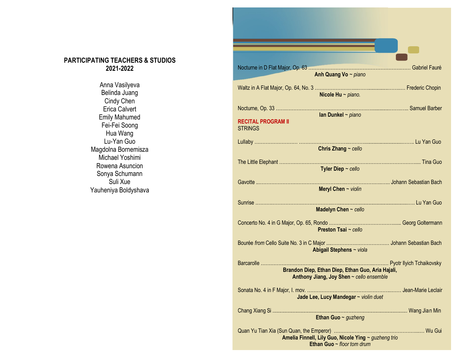# **PARTICIPATING TEACHERS & STUDIOS 2021-2022**

Anna Vasilyeva Belinda Juang Cindy Chen Erica Calvert Emily Mahumed Fei-Fei Soong Hua Wang Lu-Yan Guo Magdolna Bornemisza Michael Yoshimi Rowena Asuncion Sonya Schumann Suli Xue Yauheniya Boldyshava

| Anh Quang Vo ~ piano                                                                                        |
|-------------------------------------------------------------------------------------------------------------|
|                                                                                                             |
| Nicole Hu $\sim$ piano.                                                                                     |
|                                                                                                             |
| Ian Dunkel $\sim$ piano<br><b>RECITAL PROGRAM II</b>                                                        |
| <b>STRINGS</b>                                                                                              |
|                                                                                                             |
| Chris Zhang $\sim$ cello                                                                                    |
|                                                                                                             |
| Tyler Diep $\sim$ cello                                                                                     |
| Meryl Chen $\sim$ violin                                                                                    |
|                                                                                                             |
| Madelyn Chen $\sim$ cello                                                                                   |
| Preston Tsai ~ cello                                                                                        |
| Abigail Stephens ~ viola                                                                                    |
| Barcarolle<br>Brandon Diep, Ethan Diep, Ethan Guo, Aria Hajali,<br>Anthony Jiang, Joy Shen ~ cello ensemble |
| Jade Lee, Lucy Mandegar ~ violin duet                                                                       |
| Ethan Guo ~ guzheng                                                                                         |
| Amelia Finnell, Lily Guo, Nicole Ying ~ guzheng trio<br>Ethan Guo $\sim$ floor tom drum                     |